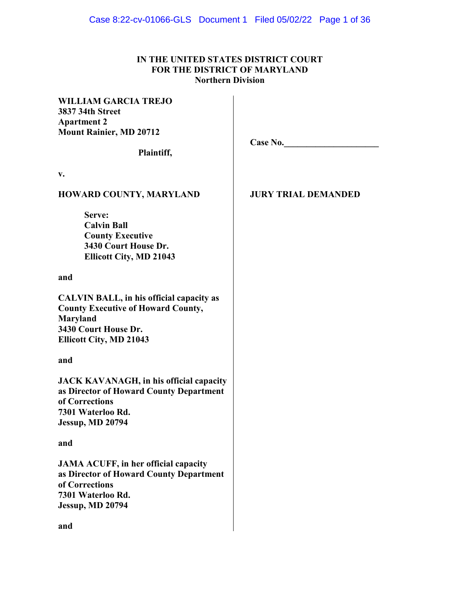## **IN THE UNITED STATES DISTRICT COURT FOR THE DISTRICT OF MARYLAND Northern Division**

## **WILLIAM GARCIA TREJO 3837 34th Street Apartment 2 Mount Rainier, MD 20712**

**Plaintiff,** 

**Case No.\_\_\_\_\_\_\_\_\_\_\_\_\_\_\_\_\_\_\_\_\_**

**v.** 

## **HOWARD COUNTY, MARYLAND**

**Serve: Calvin Ball County Executive 3430 Court House Dr. Ellicott City, MD 21043**

**and** 

**CALVIN BALL, in his official capacity as County Executive of Howard County, Maryland 3430 Court House Dr. Ellicott City, MD 21043**

**and** 

**JACK KAVANAGH, in his official capacity as Director of Howard County Department of Corrections 7301 Waterloo Rd. Jessup, MD 20794**

## **and**

**JAMA ACUFF, in her official capacity as Director of Howard County Department of Corrections 7301 Waterloo Rd. Jessup, MD 20794**

**JURY TRIAL DEMANDED**

**and**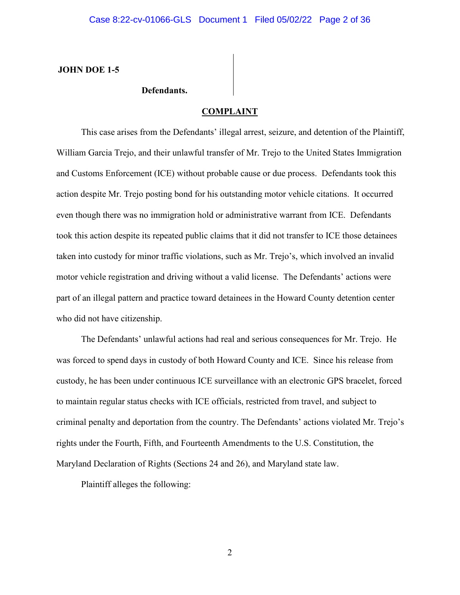**JOHN DOE 1-5** 

## **Defendants.**

## **COMPLAINT**

This case arises from the Defendants' illegal arrest, seizure, and detention of the Plaintiff, William Garcia Trejo, and their unlawful transfer of Mr. Trejo to the United States Immigration and Customs Enforcement (ICE) without probable cause or due process. Defendants took this action despite Mr. Trejo posting bond for his outstanding motor vehicle citations. It occurred even though there was no immigration hold or administrative warrant from ICE. Defendants took this action despite its repeated public claims that it did not transfer to ICE those detainees taken into custody for minor traffic violations, such as Mr. Trejo's, which involved an invalid motor vehicle registration and driving without a valid license. The Defendants' actions were part of an illegal pattern and practice toward detainees in the Howard County detention center who did not have citizenship.

The Defendants' unlawful actions had real and serious consequences for Mr. Trejo. He was forced to spend days in custody of both Howard County and ICE. Since his release from custody, he has been under continuous ICE surveillance with an electronic GPS bracelet, forced to maintain regular status checks with ICE officials, restricted from travel, and subject to criminal penalty and deportation from the country. The Defendants' actions violated Mr. Trejo's rights under the Fourth, Fifth, and Fourteenth Amendments to the U.S. Constitution, the Maryland Declaration of Rights (Sections 24 and 26), and Maryland state law.

Plaintiff alleges the following: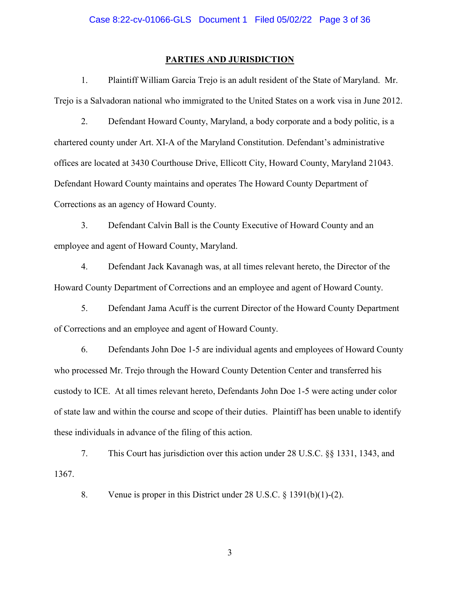#### **PARTIES AND JURISDICTION**

1. Plaintiff William Garcia Trejo is an adult resident of the State of Maryland. Mr. Trejo is a Salvadoran national who immigrated to the United States on a work visa in June 2012.

2. Defendant Howard County, Maryland, a body corporate and a body politic, is a chartered county under Art. XI-A of the Maryland Constitution. Defendant's administrative offices are located at 3430 Courthouse Drive, Ellicott City, Howard County, Maryland 21043. Defendant Howard County maintains and operates The Howard County Department of Corrections as an agency of Howard County.

3. Defendant Calvin Ball is the County Executive of Howard County and an employee and agent of Howard County, Maryland.

4. Defendant Jack Kavanagh was, at all times relevant hereto, the Director of the Howard County Department of Corrections and an employee and agent of Howard County.

5. Defendant Jama Acuff is the current Director of the Howard County Department of Corrections and an employee and agent of Howard County.

6. Defendants John Doe 1-5 are individual agents and employees of Howard County who processed Mr. Trejo through the Howard County Detention Center and transferred his custody to ICE. At all times relevant hereto, Defendants John Doe 1-5 were acting under color of state law and within the course and scope of their duties. Plaintiff has been unable to identify these individuals in advance of the filing of this action.

7. This Court has jurisdiction over this action under 28 U.S.C. §§ 1331, 1343, and 1367.

8. Venue is proper in this District under 28 U.S.C. § 1391(b)(1)-(2).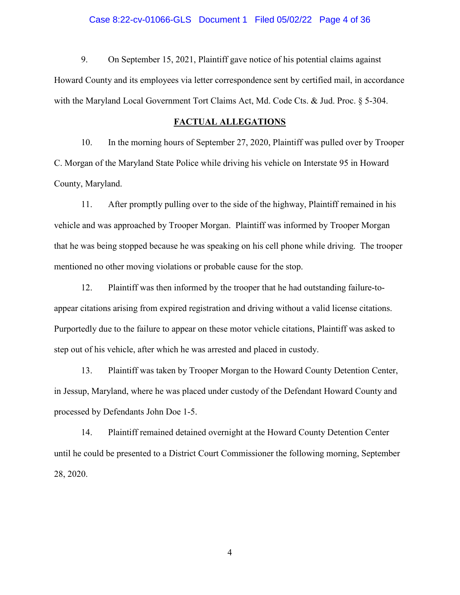### Case 8:22-cv-01066-GLS Document 1 Filed 05/02/22 Page 4 of 36

9. On September 15, 2021, Plaintiff gave notice of his potential claims against Howard County and its employees via letter correspondence sent by certified mail, in accordance with the Maryland Local Government Tort Claims Act, Md. Code Cts. & Jud. Proc. § 5-304.

## **FACTUAL ALLEGATIONS**

10. In the morning hours of September 27, 2020, Plaintiff was pulled over by Trooper C. Morgan of the Maryland State Police while driving his vehicle on Interstate 95 in Howard County, Maryland.

11. After promptly pulling over to the side of the highway, Plaintiff remained in his vehicle and was approached by Trooper Morgan. Plaintiff was informed by Trooper Morgan that he was being stopped because he was speaking on his cell phone while driving. The trooper mentioned no other moving violations or probable cause for the stop.

12. Plaintiff was then informed by the trooper that he had outstanding failure-toappear citations arising from expired registration and driving without a valid license citations. Purportedly due to the failure to appear on these motor vehicle citations, Plaintiff was asked to step out of his vehicle, after which he was arrested and placed in custody.

13. Plaintiff was taken by Trooper Morgan to the Howard County Detention Center, in Jessup, Maryland, where he was placed under custody of the Defendant Howard County and processed by Defendants John Doe 1-5.

14. Plaintiff remained detained overnight at the Howard County Detention Center until he could be presented to a District Court Commissioner the following morning, September 28, 2020.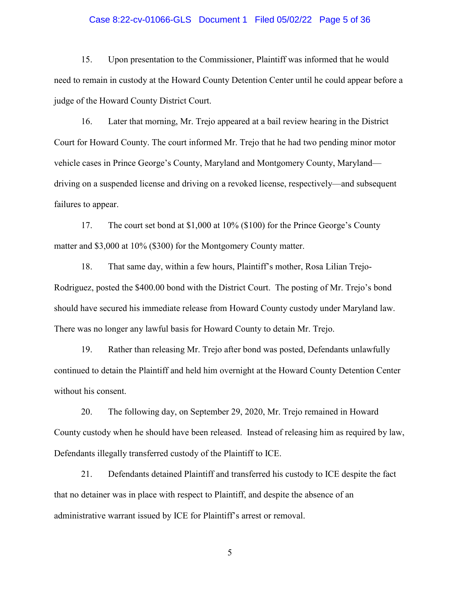## Case 8:22-cv-01066-GLS Document 1 Filed 05/02/22 Page 5 of 36

15. Upon presentation to the Commissioner, Plaintiff was informed that he would need to remain in custody at the Howard County Detention Center until he could appear before a judge of the Howard County District Court.

16. Later that morning, Mr. Trejo appeared at a bail review hearing in the District Court for Howard County. The court informed Mr. Trejo that he had two pending minor motor vehicle cases in Prince George's County, Maryland and Montgomery County, Maryland driving on a suspended license and driving on a revoked license, respectively—and subsequent failures to appear.

17. The court set bond at \$1,000 at 10% (\$100) for the Prince George's County matter and \$3,000 at 10% (\$300) for the Montgomery County matter.

18. That same day, within a few hours, Plaintiff's mother, Rosa Lilian Trejo-Rodriguez, posted the \$400.00 bond with the District Court. The posting of Mr. Trejo's bond should have secured his immediate release from Howard County custody under Maryland law. There was no longer any lawful basis for Howard County to detain Mr. Trejo.

19. Rather than releasing Mr. Trejo after bond was posted, Defendants unlawfully continued to detain the Plaintiff and held him overnight at the Howard County Detention Center without his consent.

20. The following day, on September 29, 2020, Mr. Trejo remained in Howard County custody when he should have been released. Instead of releasing him as required by law, Defendants illegally transferred custody of the Plaintiff to ICE.

21. Defendants detained Plaintiff and transferred his custody to ICE despite the fact that no detainer was in place with respect to Plaintiff, and despite the absence of an administrative warrant issued by ICE for Plaintiff's arrest or removal.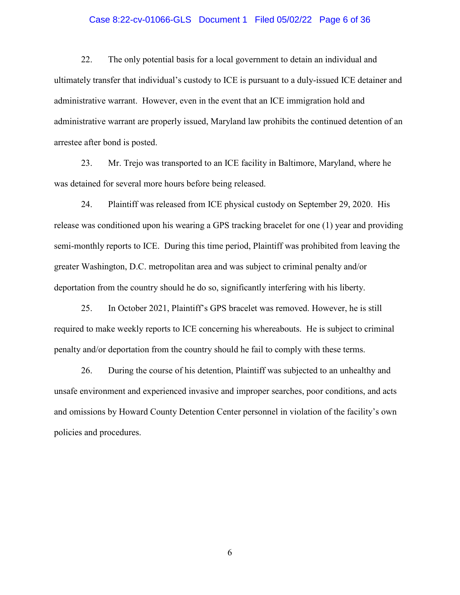## Case 8:22-cv-01066-GLS Document 1 Filed 05/02/22 Page 6 of 36

22. The only potential basis for a local government to detain an individual and ultimately transfer that individual's custody to ICE is pursuant to a duly-issued ICE detainer and administrative warrant. However, even in the event that an ICE immigration hold and administrative warrant are properly issued, Maryland law prohibits the continued detention of an arrestee after bond is posted.

23. Mr. Trejo was transported to an ICE facility in Baltimore, Maryland, where he was detained for several more hours before being released.

24. Plaintiff was released from ICE physical custody on September 29, 2020. His release was conditioned upon his wearing a GPS tracking bracelet for one (1) year and providing semi-monthly reports to ICE. During this time period, Plaintiff was prohibited from leaving the greater Washington, D.C. metropolitan area and was subject to criminal penalty and/or deportation from the country should he do so, significantly interfering with his liberty.

25. In October 2021, Plaintiff's GPS bracelet was removed. However, he is still required to make weekly reports to ICE concerning his whereabouts. He is subject to criminal penalty and/or deportation from the country should he fail to comply with these terms.

26. During the course of his detention, Plaintiff was subjected to an unhealthy and unsafe environment and experienced invasive and improper searches, poor conditions, and acts and omissions by Howard County Detention Center personnel in violation of the facility's own policies and procedures.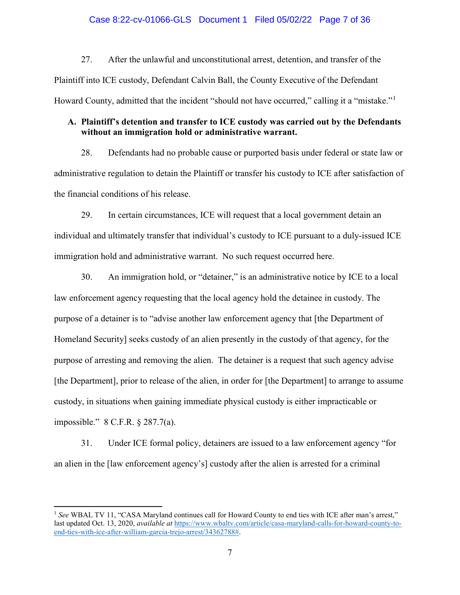## Case 8:22-cv-01066-GLS Document 1 Filed 05/02/22 Page 7 of 36

27. After the unlawful and unconstitutional arrest, detention, and transfer of the Plaintiff into ICE custody, Defendant Calvin Ball, the County Executive of the Defendant Howard County, admitted that the incident "should not have occurred," calling it a "mistake."<sup>[1](#page-6-0)</sup>

## **A. Plaintiff's detention and transfer to ICE custody was carried out by the Defendants without an immigration hold or administrative warrant.**

28. Defendants had no probable cause or purported basis under federal or state law or administrative regulation to detain the Plaintiff or transfer his custody to ICE after satisfaction of the financial conditions of his release.

29. In certain circumstances, ICE will request that a local government detain an individual and ultimately transfer that individual's custody to ICE pursuant to a duly-issued ICE immigration hold and administrative warrant. No such request occurred here.

30. An immigration hold, or "detainer," is an administrative notice by ICE to a local law enforcement agency requesting that the local agency hold the detainee in custody. The purpose of a detainer is to "advise another law enforcement agency that [the Department of Homeland Security] seeks custody of an alien presently in the custody of that agency, for the purpose of arresting and removing the alien. The detainer is a request that such agency advise [the Department], prior to release of the alien, in order for [the Department] to arrange to assume custody, in situations when gaining immediate physical custody is either impracticable or impossible." 8 C.F.R. § 287.7(a).

31. Under ICE formal policy, detainers are issued to a law enforcement agency "for an alien in the [law enforcement agency's] custody after the alien is arrested for a criminal

l

<span id="page-6-0"></span><sup>&</sup>lt;sup>1</sup> See WBAL TV 11, "CASA Maryland continues call for Howard County to end ties with ICE after man's arrest," last updated Oct. 13, 2020, *available at* [https://www.wbaltv.com/article/casa-maryland-calls-for-howard-county-to](https://www.wbaltv.com/article/casa-maryland-calls-for-howard-county-to-end-ties-with-ice-after-william-garcia-trejo-arrest/34362788)[end-ties-with-ice-after-william-garcia-trejo-arrest/34362788#.](https://www.wbaltv.com/article/casa-maryland-calls-for-howard-county-to-end-ties-with-ice-after-william-garcia-trejo-arrest/34362788)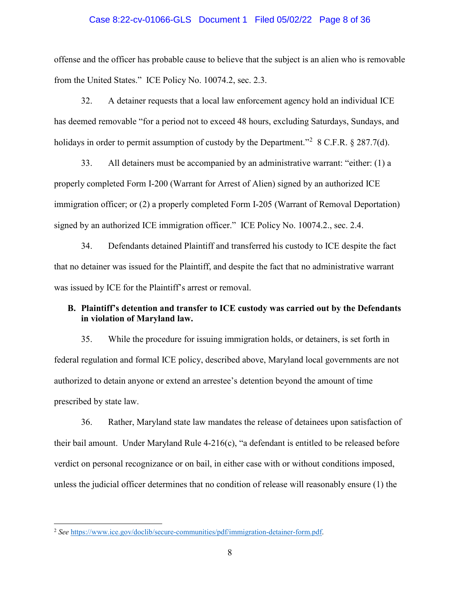### Case 8:22-cv-01066-GLS Document 1 Filed 05/02/22 Page 8 of 36

offense and the officer has probable cause to believe that the subject is an alien who is removable from the United States." ICE Policy No. 10074.2, sec. 2.3.

32. A detainer requests that a local law enforcement agency hold an individual ICE has deemed removable "for a period not to exceed 48 hours, excluding Saturdays, Sundays, and holidays in order to permit assumption of custody by the Department."<sup>[2](#page-7-0)</sup> 8 C.F.R. § 287.7(d).

33. All detainers must be accompanied by an administrative warrant: "either: (1) a properly completed Form I-200 (Warrant for Arrest of Alien) signed by an authorized ICE immigration officer; or (2) a properly completed Form I-205 (Warrant of Removal Deportation) signed by an authorized ICE immigration officer." ICE Policy No. 10074.2., sec. 2.4.

34. Defendants detained Plaintiff and transferred his custody to ICE despite the fact that no detainer was issued for the Plaintiff, and despite the fact that no administrative warrant was issued by ICE for the Plaintiff's arrest or removal.

## **B. Plaintiff's detention and transfer to ICE custody was carried out by the Defendants in violation of Maryland law.**

35. While the procedure for issuing immigration holds, or detainers, is set forth in federal regulation and formal ICE policy, described above, Maryland local governments are not authorized to detain anyone or extend an arrestee's detention beyond the amount of time prescribed by state law.

36. Rather, Maryland state law mandates the release of detainees upon satisfaction of their bail amount. Under Maryland Rule 4-216(c), "a defendant is entitled to be released before verdict on personal recognizance or on bail, in either case with or without conditions imposed, unless the judicial officer determines that no condition of release will reasonably ensure (1) the

l

<span id="page-7-0"></span><sup>2</sup> *See* [https://www.ice.gov/doclib/secure-communities/pdf/immigration-detainer-form.pdf.](https://www.ice.gov/doclib/secure-communities/pdf/immigration-detainer-form.pdf)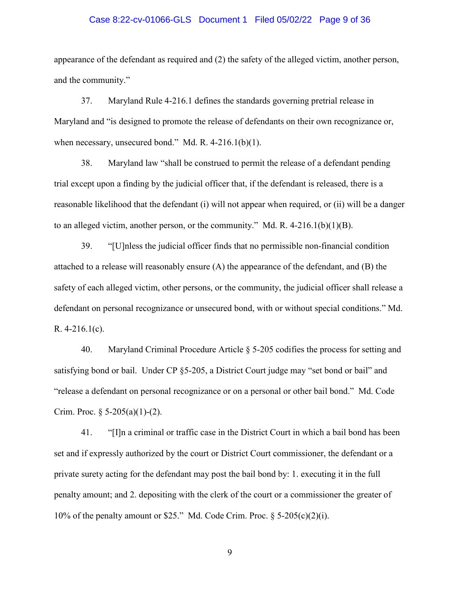### Case 8:22-cv-01066-GLS Document 1 Filed 05/02/22 Page 9 of 36

appearance of the defendant as required and (2) the safety of the alleged victim, another person, and the community."

37. Maryland Rule 4-216.1 defines the standards governing pretrial release in Maryland and "is designed to promote the release of defendants on their own recognizance or, when necessary, unsecured bond." Md. R. 4-216.1(b)(1).

38. Maryland law "shall be construed to permit the release of a defendant pending trial except upon a finding by the judicial officer that, if the defendant is released, there is a reasonable likelihood that the defendant (i) will not appear when required, or (ii) will be a danger to an alleged victim, another person, or the community." Md. R.  $4-216.1(b)(1)(B)$ .

39. "[U]nless the judicial officer finds that no permissible non-financial condition attached to a release will reasonably ensure (A) the appearance of the defendant, and (B) the safety of each alleged victim, other persons, or the community, the judicial officer shall release a defendant on personal recognizance or unsecured bond, with or without special conditions." Md. R. 4-216.1(c).

40. Maryland Criminal Procedure Article § 5-205 codifies the process for setting and satisfying bond or bail. Under CP §5-205, a District Court judge may "set bond or bail" and "release a defendant on personal recognizance or on a personal or other bail bond." Md. Code Crim. Proc.  $\S$  5-205(a)(1)-(2).

41. "[I]n a criminal or traffic case in the District Court in which a bail bond has been set and if expressly authorized by the court or District Court commissioner, the defendant or a private surety acting for the defendant may post the bail bond by: 1. executing it in the full penalty amount; and 2. depositing with the clerk of the court or a commissioner the greater of 10% of the penalty amount or \$25." Md. Code Crim. Proc. § 5-205(c)(2)(i).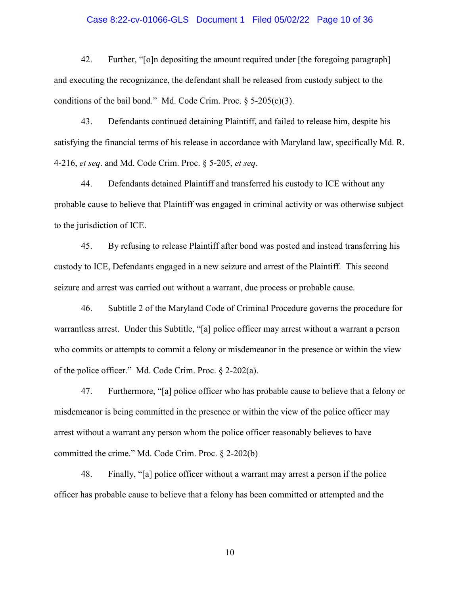### Case 8:22-cv-01066-GLS Document 1 Filed 05/02/22 Page 10 of 36

42. Further, "[o]n depositing the amount required under [the foregoing paragraph] and executing the recognizance, the defendant shall be released from custody subject to the conditions of the bail bond." Md. Code Crim. Proc.  $\S$  5-205(c)(3).

43. Defendants continued detaining Plaintiff, and failed to release him, despite his satisfying the financial terms of his release in accordance with Maryland law, specifically Md. R. 4-216, *et seq*. and Md. Code Crim. Proc. § 5-205, *et seq*.

44. Defendants detained Plaintiff and transferred his custody to ICE without any probable cause to believe that Plaintiff was engaged in criminal activity or was otherwise subject to the jurisdiction of ICE.

45. By refusing to release Plaintiff after bond was posted and instead transferring his custody to ICE, Defendants engaged in a new seizure and arrest of the Plaintiff. This second seizure and arrest was carried out without a warrant, due process or probable cause.

46. Subtitle 2 of the Maryland Code of Criminal Procedure governs the procedure for warrantless arrest. Under this Subtitle, "[a] police officer may arrest without a warrant a person who commits or attempts to commit a felony or misdemeanor in the presence or within the view of the police officer." Md. Code Crim. Proc. § 2-202(a).

47. Furthermore, "[a] police officer who has probable cause to believe that a felony or misdemeanor is being committed in the presence or within the view of the police officer may arrest without a warrant any person whom the police officer reasonably believes to have committed the crime." Md. Code Crim. Proc. § 2-202(b)

48. Finally, "[a] police officer without a warrant may arrest a person if the police officer has probable cause to believe that a felony has been committed or attempted and the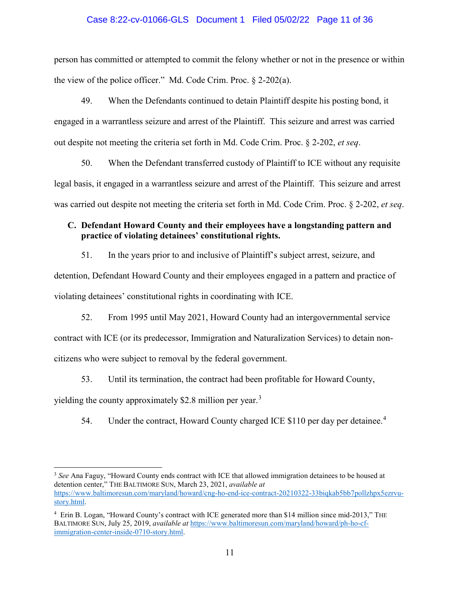## Case 8:22-cv-01066-GLS Document 1 Filed 05/02/22 Page 11 of 36

person has committed or attempted to commit the felony whether or not in the presence or within the view of the police officer." Md. Code Crim. Proc. § 2-202(a).

49. When the Defendants continued to detain Plaintiff despite his posting bond, it engaged in a warrantless seizure and arrest of the Plaintiff. This seizure and arrest was carried out despite not meeting the criteria set forth in Md. Code Crim. Proc. § 2-202, *et seq*.

50. When the Defendant transferred custody of Plaintiff to ICE without any requisite legal basis, it engaged in a warrantless seizure and arrest of the Plaintiff. This seizure and arrest was carried out despite not meeting the criteria set forth in Md. Code Crim. Proc. § 2-202, *et seq*.

## **C. Defendant Howard County and their employees have a longstanding pattern and practice of violating detainees' constitutional rights.**

51. In the years prior to and inclusive of Plaintiff's subject arrest, seizure, and detention, Defendant Howard County and their employees engaged in a pattern and practice of violating detainees' constitutional rights in coordinating with ICE.

52. From 1995 until May 2021, Howard County had an intergovernmental service contract with ICE (or its predecessor, Immigration and Naturalization Services) to detain noncitizens who were subject to removal by the federal government.

53. Until its termination, the contract had been profitable for Howard County, yielding the county approximately \$2.8 million per year.<sup>[3](#page-10-0)</sup>

l

5[4](#page-10-1). Under the contract, Howard County charged ICE \$110 per day per detainee.<sup>4</sup>

<span id="page-10-0"></span><sup>&</sup>lt;sup>3</sup> See Ana Faguy, "Howard County ends contract with ICE that allowed immigration detainees to be housed at detention center," THE BALTIMORE SUN, March 23, 2021, *available at*  [https://www.baltimoresun.com/maryland/howard/cng-ho-end-ice-contract-20210322-33biqkab5bb7pollzhpx5ezrvu](https://www.baltimoresun.com/maryland/howard/cng-ho-end-ice-contract-20210322-33biqkab5bb7pollzhpx5ezrvu-story.html)[story.html.](https://www.baltimoresun.com/maryland/howard/cng-ho-end-ice-contract-20210322-33biqkab5bb7pollzhpx5ezrvu-story.html)

<span id="page-10-1"></span><sup>&</sup>lt;sup>4</sup> Erin B. Logan, "Howard County's contract with ICE generated more than \$14 million since mid-2013," THE BALTIMORE SUN, July 25, 2019, *available at* [https://www.baltimoresun.com/maryland/howard/ph-ho-cf](https://www.baltimoresun.com/maryland/howard/ph-ho-cf-immigration-center-inside-0710-story.html)[immigration-center-inside-0710-story.html.](https://www.baltimoresun.com/maryland/howard/ph-ho-cf-immigration-center-inside-0710-story.html)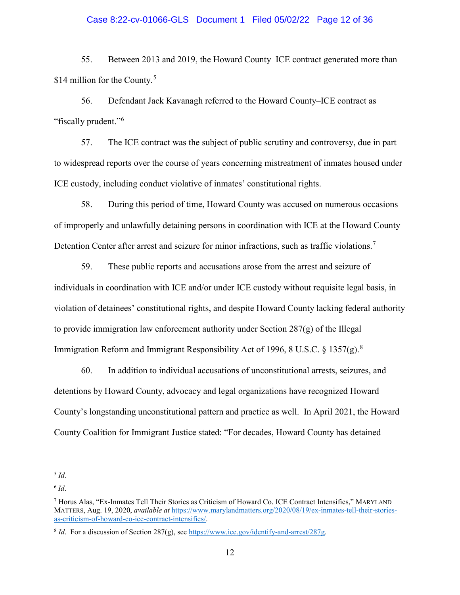### Case 8:22-cv-01066-GLS Document 1 Filed 05/02/22 Page 12 of 36

55. Between 2013 and 2019, the Howard County–ICE contract generated more than \$14 million for the County.<sup>[5](#page-11-0)</sup>

56. Defendant Jack Kavanagh referred to the Howard County–ICE contract as "fiscally prudent."[6](#page-11-1)

57. The ICE contract was the subject of public scrutiny and controversy, due in part to widespread reports over the course of years concerning mistreatment of inmates housed under ICE custody, including conduct violative of inmates' constitutional rights.

58. During this period of time, Howard County was accused on numerous occasions of improperly and unlawfully detaining persons in coordination with ICE at the Howard County Detention Center after arrest and seizure for minor infractions, such as traffic violations.<sup>[7](#page-11-2)</sup>

59. These public reports and accusations arose from the arrest and seizure of individuals in coordination with ICE and/or under ICE custody without requisite legal basis, in violation of detainees' constitutional rights, and despite Howard County lacking federal authority to provide immigration law enforcement authority under Section  $287(g)$  of the Illegal Immigration Reform and Immigrant Responsibility Act of 1996, [8](#page-11-3) U.S.C. § 1357(g).<sup>8</sup>

60. In addition to individual accusations of unconstitutional arrests, seizures, and detentions by Howard County, advocacy and legal organizations have recognized Howard County's longstanding unconstitutional pattern and practice as well. In April 2021, the Howard County Coalition for Immigrant Justice stated: "For decades, Howard County has detained

<span id="page-11-0"></span> $\overline{a}$ <sup>5</sup> *Id*.

<span id="page-11-1"></span> $6$  *Id*.

<span id="page-11-2"></span><sup>7</sup> Horus Alas, "Ex-Inmates Tell Their Stories as Criticism of Howard Co. ICE Contract Intensifies," MARYLAND MATTERS, Aug. 19, 2020, *available at* [https://www.marylandmatters.org/2020/08/19/ex-inmates-tell-their-stories](https://www.marylandmatters.org/2020/08/19/ex-inmates-tell-their-stories-as-criticism-of-howard-co-ice-contract-intensifies/)[as-criticism-of-howard-co-ice-contract-intensifies/.](https://www.marylandmatters.org/2020/08/19/ex-inmates-tell-their-stories-as-criticism-of-howard-co-ice-contract-intensifies/)

<span id="page-11-3"></span><sup>&</sup>lt;sup>8</sup> *Id*. For a discussion of Section 287(g), see https://www.ice.gov/identify-and-arrest/287g.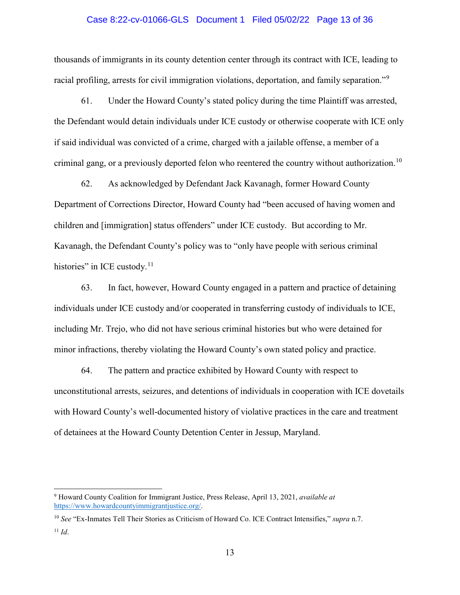## Case 8:22-cv-01066-GLS Document 1 Filed 05/02/22 Page 13 of 36

thousands of immigrants in its county detention center through its contract with ICE, leading to racial profiling, arrests for civil immigration violations, deportation, and family separation."[9](#page-12-0)

61. Under the Howard County's stated policy during the time Plaintiff was arrested, the Defendant would detain individuals under ICE custody or otherwise cooperate with ICE only if said individual was convicted of a crime, charged with a jailable offense, a member of a criminal gang, or a previously deported felon who reentered the country without authorization.<sup>[10](#page-12-1)</sup>

62. As acknowledged by Defendant Jack Kavanagh, former Howard County Department of Corrections Director, Howard County had "been accused of having women and children and [immigration] status offenders" under ICE custody. But according to Mr. Kavanagh, the Defendant County's policy was to "only have people with serious criminal histories" in ICE custody. $11$ 

63. In fact, however, Howard County engaged in a pattern and practice of detaining individuals under ICE custody and/or cooperated in transferring custody of individuals to ICE, including Mr. Trejo, who did not have serious criminal histories but who were detained for minor infractions, thereby violating the Howard County's own stated policy and practice.

64. The pattern and practice exhibited by Howard County with respect to unconstitutional arrests, seizures, and detentions of individuals in cooperation with ICE dovetails with Howard County's well-documented history of violative practices in the care and treatment of detainees at the Howard County Detention Center in Jessup, Maryland.

l

<span id="page-12-0"></span><sup>9</sup> Howard County Coalition for Immigrant Justice, Press Release, April 13, 2021, *available at* https://www.howardcountyimmigrantiustice.org/.

<span id="page-12-2"></span><span id="page-12-1"></span><sup>10</sup> *See* "Ex-Inmates Tell Their Stories as Criticism of Howard Co. ICE Contract Intensifies," *supra* n.7.  $11$  *Id.*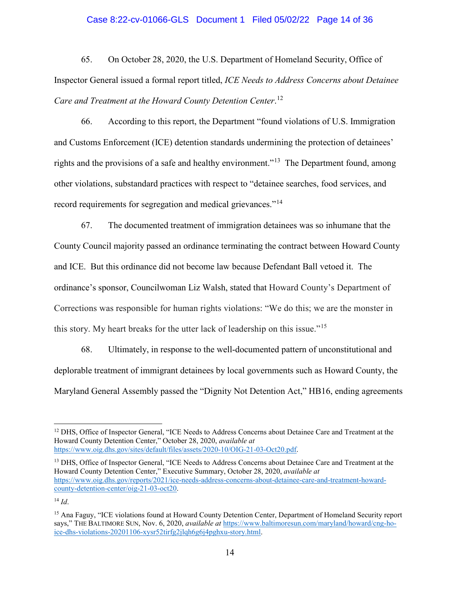## Case 8:22-cv-01066-GLS Document 1 Filed 05/02/22 Page 14 of 36

65. On October 28, 2020, the U.S. Department of Homeland Security, Office of Inspector General issued a formal report titled, *ICE Needs to Address Concerns about Detainee Care and Treatment at the Howard County Detention Center*. [12](#page-13-0)

66. According to this report, the Department "found violations of U.S. Immigration and Customs Enforcement (ICE) detention standards undermining the protection of detainees' rights and the provisions of a safe and healthy environment."<sup>[13](#page-13-1)</sup> The Department found, among other violations, substandard practices with respect to "detainee searches, food services, and record requirements for segregation and medical grievances."<sup>[14](#page-13-2)</sup>

67. The documented treatment of immigration detainees was so inhumane that the County Council majority passed an ordinance terminating the contract between Howard County and ICE. But this ordinance did not become law because Defendant Ball vetoed it. The ordinance's sponsor, Councilwoman Liz Walsh, stated that Howard County's Department of Corrections was responsible for human rights violations: "We do this; we are the monster in this story. My heart breaks for the utter lack of leadership on this issue."[15](#page-13-3)

68. Ultimately, in response to the well-documented pattern of unconstitutional and deplorable treatment of immigrant detainees by local governments such as Howard County, the Maryland General Assembly passed the "Dignity Not Detention Act," HB16, ending agreements

<span id="page-13-1"></span><sup>13</sup> DHS, Office of Inspector General, "ICE Needs to Address Concerns about Detainee Care and Treatment at the Howard County Detention Center," Executive Summary, October 28, 2020, *available at* [https://www.oig.dhs.gov/reports/2021/ice-needs-address-concerns-about-detainee-care-and-treatment-howard](https://www.oig.dhs.gov/reports/2021/ice-needs-address-concerns-about-detainee-care-and-treatment-howard-county-detention-center/oig-21-03-oct20)[county-detention-center/oig-21-03-oct20.](https://www.oig.dhs.gov/reports/2021/ice-needs-address-concerns-about-detainee-care-and-treatment-howard-county-detention-center/oig-21-03-oct20) 

<span id="page-13-2"></span> $^{14}$  *Id*.

 $\overline{\phantom{a}}$ 

<span id="page-13-0"></span><sup>&</sup>lt;sup>12</sup> DHS, Office of Inspector General, "ICE Needs to Address Concerns about Detainee Care and Treatment at the Howard County Detention Center," October 28, 2020, *available at*  [https://www.oig.dhs.gov/sites/default/files/assets/2020-10/OIG-21-03-Oct20.pdf.](https://www.oig.dhs.gov/sites/default/files/assets/2020-10/OIG-21-03-Oct20.pdf)

<span id="page-13-3"></span><sup>&</sup>lt;sup>15</sup> Ana Faguy, "ICE violations found at Howard County Detention Center, Department of Homeland Security report says," THE BALTIMORE SUN, Nov. 6, 2020, *available at* [https://www.baltimoresun.com/maryland/howard/cng-ho](https://www.baltimoresun.com/maryland/howard/cng-ho-ice-dhs-violations-20201106-xysr52tirfg2jlqh6g6j4pghxu-story.html)[ice-dhs-violations-20201106-xysr52tirfg2jlqh6g6j4pghxu-story.html.](https://www.baltimoresun.com/maryland/howard/cng-ho-ice-dhs-violations-20201106-xysr52tirfg2jlqh6g6j4pghxu-story.html)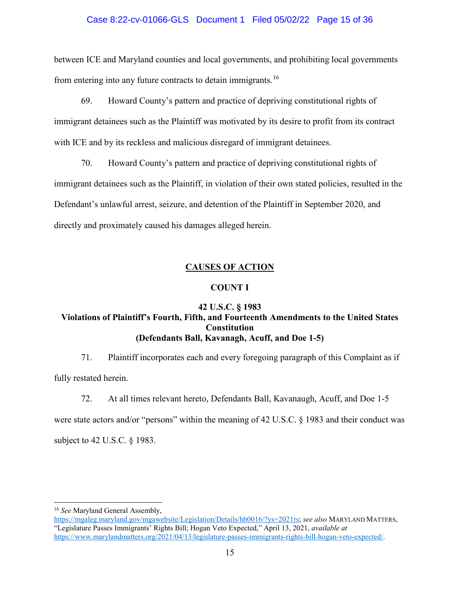## Case 8:22-cv-01066-GLS Document 1 Filed 05/02/22 Page 15 of 36

between ICE and Maryland counties and local governments, and prohibiting local governments from entering into any future contracts to detain immigrants.<sup>[16](#page-14-0)</sup>

69. Howard County's pattern and practice of depriving constitutional rights of immigrant detainees such as the Plaintiff was motivated by its desire to profit from its contract with ICE and by its reckless and malicious disregard of immigrant detainees.

70. Howard County's pattern and practice of depriving constitutional rights of immigrant detainees such as the Plaintiff, in violation of their own stated policies, resulted in the Defendant's unlawful arrest, seizure, and detention of the Plaintiff in September 2020, and directly and proximately caused his damages alleged herein.

# **CAUSES OF ACTION**

## **COUNT I**

## **42 U.S.C. § 1983 Violations of Plaintiff's Fourth, Fifth, and Fourteenth Amendments to the United States Constitution (Defendants Ball, Kavanagh, Acuff, and Doe 1-5)**

71. Plaintiff incorporates each and every foregoing paragraph of this Complaint as if

fully restated herein.

72. At all times relevant hereto, Defendants Ball, Kavanaugh, Acuff, and Doe 1-5

were state actors and/or "persons" within the meaning of 42 U.S.C. § 1983 and their conduct was subject to 42 U.S.C. § 1983.

l

<sup>16</sup> *See* Maryland General Assembly,

<span id="page-14-0"></span>[https://mgaleg.maryland.gov/mgawebsite/Legislation/Details/hb0016/?ys=2021rs;](https://mgaleg.maryland.gov/mgawebsite/Legislation/Details/hb0016/?ys=2021rs) *see also* MARYLAND MATTERS, "Legislature Passes Immigrants' Rights Bill; Hogan Veto Expected," April 13, 2021, *available at*  [https://www.marylandmatters.org/2021/04/13/legislature-passes-immigrants-rights-bill-hogan-veto-expected/.](https://www.marylandmatters.org/2021/04/13/legislature-passes-immigrants-rights-bill-hogan-veto-expected/)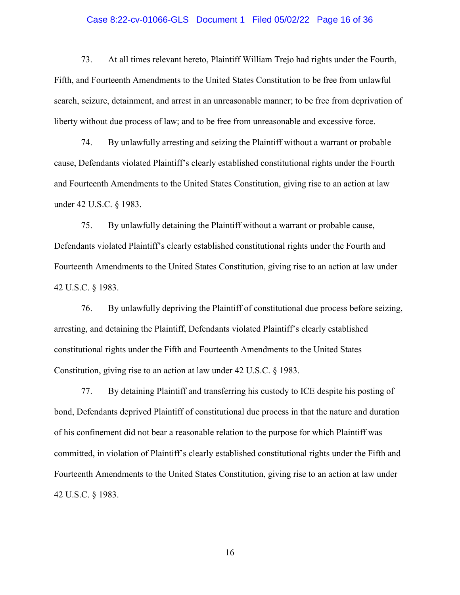## Case 8:22-cv-01066-GLS Document 1 Filed 05/02/22 Page 16 of 36

73. At all times relevant hereto, Plaintiff William Trejo had rights under the Fourth, Fifth, and Fourteenth Amendments to the United States Constitution to be free from unlawful search, seizure, detainment, and arrest in an unreasonable manner; to be free from deprivation of liberty without due process of law; and to be free from unreasonable and excessive force.

74. By unlawfully arresting and seizing the Plaintiff without a warrant or probable cause, Defendants violated Plaintiff's clearly established constitutional rights under the Fourth and Fourteenth Amendments to the United States Constitution, giving rise to an action at law under 42 U.S.C. § 1983.

75. By unlawfully detaining the Plaintiff without a warrant or probable cause, Defendants violated Plaintiff's clearly established constitutional rights under the Fourth and Fourteenth Amendments to the United States Constitution, giving rise to an action at law under 42 U.S.C. § 1983.

76. By unlawfully depriving the Plaintiff of constitutional due process before seizing, arresting, and detaining the Plaintiff, Defendants violated Plaintiff's clearly established constitutional rights under the Fifth and Fourteenth Amendments to the United States Constitution, giving rise to an action at law under 42 U.S.C. § 1983.

77. By detaining Plaintiff and transferring his custody to ICE despite his posting of bond, Defendants deprived Plaintiff of constitutional due process in that the nature and duration of his confinement did not bear a reasonable relation to the purpose for which Plaintiff was committed, in violation of Plaintiff's clearly established constitutional rights under the Fifth and Fourteenth Amendments to the United States Constitution, giving rise to an action at law under 42 U.S.C. § 1983.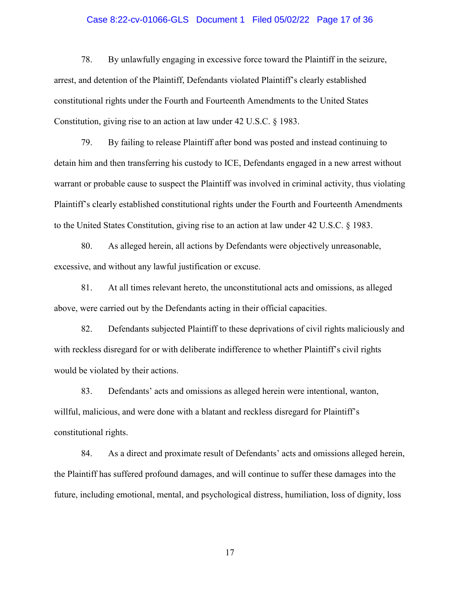## Case 8:22-cv-01066-GLS Document 1 Filed 05/02/22 Page 17 of 36

78. By unlawfully engaging in excessive force toward the Plaintiff in the seizure, arrest, and detention of the Plaintiff, Defendants violated Plaintiff's clearly established constitutional rights under the Fourth and Fourteenth Amendments to the United States Constitution, giving rise to an action at law under 42 U.S.C. § 1983.

79. By failing to release Plaintiff after bond was posted and instead continuing to detain him and then transferring his custody to ICE, Defendants engaged in a new arrest without warrant or probable cause to suspect the Plaintiff was involved in criminal activity, thus violating Plaintiff's clearly established constitutional rights under the Fourth and Fourteenth Amendments to the United States Constitution, giving rise to an action at law under 42 U.S.C. § 1983.

80. As alleged herein, all actions by Defendants were objectively unreasonable, excessive, and without any lawful justification or excuse.

81. At all times relevant hereto, the unconstitutional acts and omissions, as alleged above, were carried out by the Defendants acting in their official capacities.

82. Defendants subjected Plaintiff to these deprivations of civil rights maliciously and with reckless disregard for or with deliberate indifference to whether Plaintiff's civil rights would be violated by their actions.

83. Defendants' acts and omissions as alleged herein were intentional, wanton, willful, malicious, and were done with a blatant and reckless disregard for Plaintiff's constitutional rights.

84. As a direct and proximate result of Defendants' acts and omissions alleged herein, the Plaintiff has suffered profound damages, and will continue to suffer these damages into the future, including emotional, mental, and psychological distress, humiliation, loss of dignity, loss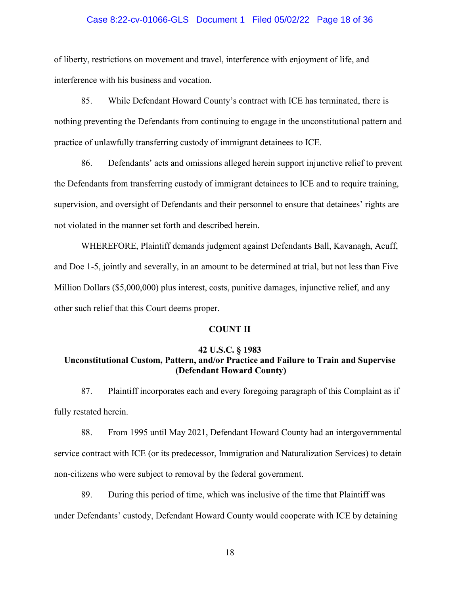### Case 8:22-cv-01066-GLS Document 1 Filed 05/02/22 Page 18 of 36

of liberty, restrictions on movement and travel, interference with enjoyment of life, and interference with his business and vocation.

85. While Defendant Howard County's contract with ICE has terminated, there is nothing preventing the Defendants from continuing to engage in the unconstitutional pattern and practice of unlawfully transferring custody of immigrant detainees to ICE.

86. Defendants' acts and omissions alleged herein support injunctive relief to prevent the Defendants from transferring custody of immigrant detainees to ICE and to require training, supervision, and oversight of Defendants and their personnel to ensure that detainees' rights are not violated in the manner set forth and described herein.

WHEREFORE, Plaintiff demands judgment against Defendants Ball, Kavanagh, Acuff, and Doe 1-5, jointly and severally, in an amount to be determined at trial, but not less than Five Million Dollars (\$5,000,000) plus interest, costs, punitive damages, injunctive relief, and any other such relief that this Court deems proper.

### **COUNT II**

## **42 U.S.C. § 1983 Unconstitutional Custom, Pattern, and/or Practice and Failure to Train and Supervise (Defendant Howard County)**

87. Plaintiff incorporates each and every foregoing paragraph of this Complaint as if fully restated herein.

88. From 1995 until May 2021, Defendant Howard County had an intergovernmental service contract with ICE (or its predecessor, Immigration and Naturalization Services) to detain non-citizens who were subject to removal by the federal government.

89. During this period of time, which was inclusive of the time that Plaintiff was under Defendants' custody, Defendant Howard County would cooperate with ICE by detaining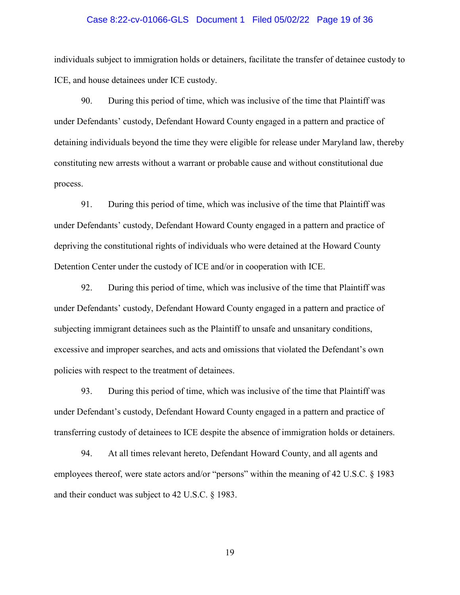### Case 8:22-cv-01066-GLS Document 1 Filed 05/02/22 Page 19 of 36

individuals subject to immigration holds or detainers, facilitate the transfer of detainee custody to ICE, and house detainees under ICE custody.

90. During this period of time, which was inclusive of the time that Plaintiff was under Defendants' custody, Defendant Howard County engaged in a pattern and practice of detaining individuals beyond the time they were eligible for release under Maryland law, thereby constituting new arrests without a warrant or probable cause and without constitutional due process.

91. During this period of time, which was inclusive of the time that Plaintiff was under Defendants' custody, Defendant Howard County engaged in a pattern and practice of depriving the constitutional rights of individuals who were detained at the Howard County Detention Center under the custody of ICE and/or in cooperation with ICE.

92. During this period of time, which was inclusive of the time that Plaintiff was under Defendants' custody, Defendant Howard County engaged in a pattern and practice of subjecting immigrant detainees such as the Plaintiff to unsafe and unsanitary conditions, excessive and improper searches, and acts and omissions that violated the Defendant's own policies with respect to the treatment of detainees.

93. During this period of time, which was inclusive of the time that Plaintiff was under Defendant's custody, Defendant Howard County engaged in a pattern and practice of transferring custody of detainees to ICE despite the absence of immigration holds or detainers.

94. At all times relevant hereto, Defendant Howard County, and all agents and employees thereof, were state actors and/or "persons" within the meaning of 42 U.S.C. § 1983 and their conduct was subject to 42 U.S.C. § 1983.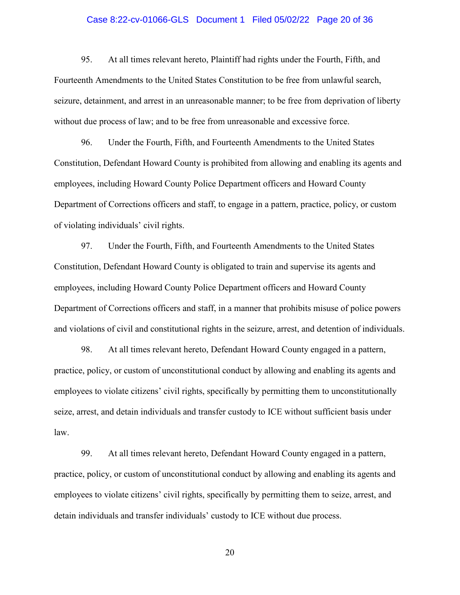## Case 8:22-cv-01066-GLS Document 1 Filed 05/02/22 Page 20 of 36

95. At all times relevant hereto, Plaintiff had rights under the Fourth, Fifth, and Fourteenth Amendments to the United States Constitution to be free from unlawful search, seizure, detainment, and arrest in an unreasonable manner; to be free from deprivation of liberty without due process of law; and to be free from unreasonable and excessive force.

96. Under the Fourth, Fifth, and Fourteenth Amendments to the United States Constitution, Defendant Howard County is prohibited from allowing and enabling its agents and employees, including Howard County Police Department officers and Howard County Department of Corrections officers and staff, to engage in a pattern, practice, policy, or custom of violating individuals' civil rights.

97. Under the Fourth, Fifth, and Fourteenth Amendments to the United States Constitution, Defendant Howard County is obligated to train and supervise its agents and employees, including Howard County Police Department officers and Howard County Department of Corrections officers and staff, in a manner that prohibits misuse of police powers and violations of civil and constitutional rights in the seizure, arrest, and detention of individuals.

98. At all times relevant hereto, Defendant Howard County engaged in a pattern, practice, policy, or custom of unconstitutional conduct by allowing and enabling its agents and employees to violate citizens' civil rights, specifically by permitting them to unconstitutionally seize, arrest, and detain individuals and transfer custody to ICE without sufficient basis under law.

99. At all times relevant hereto, Defendant Howard County engaged in a pattern, practice, policy, or custom of unconstitutional conduct by allowing and enabling its agents and employees to violate citizens' civil rights, specifically by permitting them to seize, arrest, and detain individuals and transfer individuals' custody to ICE without due process.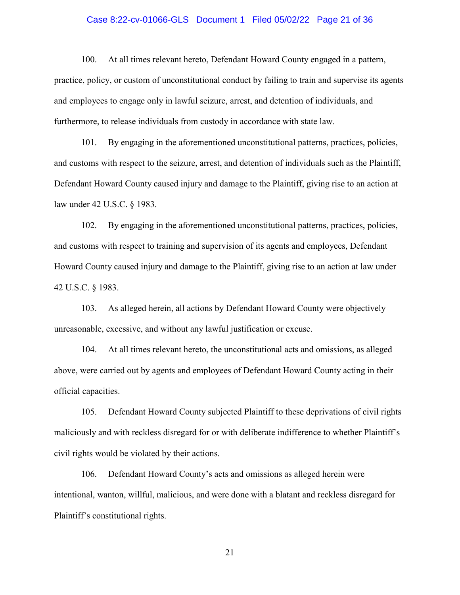## Case 8:22-cv-01066-GLS Document 1 Filed 05/02/22 Page 21 of 36

100. At all times relevant hereto, Defendant Howard County engaged in a pattern, practice, policy, or custom of unconstitutional conduct by failing to train and supervise its agents and employees to engage only in lawful seizure, arrest, and detention of individuals, and furthermore, to release individuals from custody in accordance with state law.

101. By engaging in the aforementioned unconstitutional patterns, practices, policies, and customs with respect to the seizure, arrest, and detention of individuals such as the Plaintiff, Defendant Howard County caused injury and damage to the Plaintiff, giving rise to an action at law under 42 U.S.C. § 1983.

102. By engaging in the aforementioned unconstitutional patterns, practices, policies, and customs with respect to training and supervision of its agents and employees, Defendant Howard County caused injury and damage to the Plaintiff, giving rise to an action at law under 42 U.S.C. § 1983.

103. As alleged herein, all actions by Defendant Howard County were objectively unreasonable, excessive, and without any lawful justification or excuse.

104. At all times relevant hereto, the unconstitutional acts and omissions, as alleged above, were carried out by agents and employees of Defendant Howard County acting in their official capacities.

105. Defendant Howard County subjected Plaintiff to these deprivations of civil rights maliciously and with reckless disregard for or with deliberate indifference to whether Plaintiff's civil rights would be violated by their actions.

106. Defendant Howard County's acts and omissions as alleged herein were intentional, wanton, willful, malicious, and were done with a blatant and reckless disregard for Plaintiff's constitutional rights.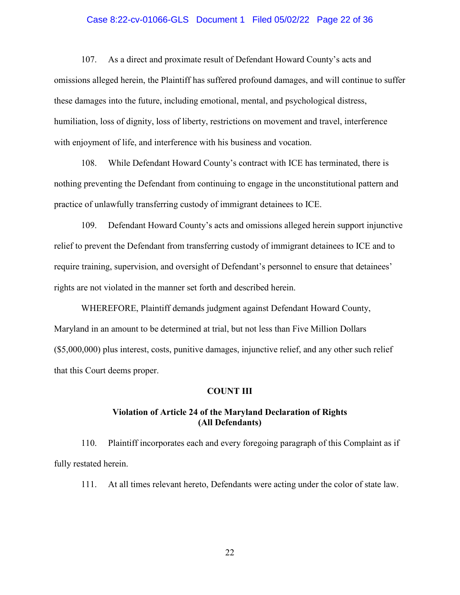## Case 8:22-cv-01066-GLS Document 1 Filed 05/02/22 Page 22 of 36

107. As a direct and proximate result of Defendant Howard County's acts and omissions alleged herein, the Plaintiff has suffered profound damages, and will continue to suffer these damages into the future, including emotional, mental, and psychological distress, humiliation, loss of dignity, loss of liberty, restrictions on movement and travel, interference with enjoyment of life, and interference with his business and vocation.

108. While Defendant Howard County's contract with ICE has terminated, there is nothing preventing the Defendant from continuing to engage in the unconstitutional pattern and practice of unlawfully transferring custody of immigrant detainees to ICE.

109. Defendant Howard County's acts and omissions alleged herein support injunctive relief to prevent the Defendant from transferring custody of immigrant detainees to ICE and to require training, supervision, and oversight of Defendant's personnel to ensure that detainees' rights are not violated in the manner set forth and described herein.

WHEREFORE, Plaintiff demands judgment against Defendant Howard County, Maryland in an amount to be determined at trial, but not less than Five Million Dollars (\$5,000,000) plus interest, costs, punitive damages, injunctive relief, and any other such relief that this Court deems proper.

#### **COUNT III**

## **Violation of Article 24 of the Maryland Declaration of Rights (All Defendants)**

110. Plaintiff incorporates each and every foregoing paragraph of this Complaint as if fully restated herein.

111. At all times relevant hereto, Defendants were acting under the color of state law.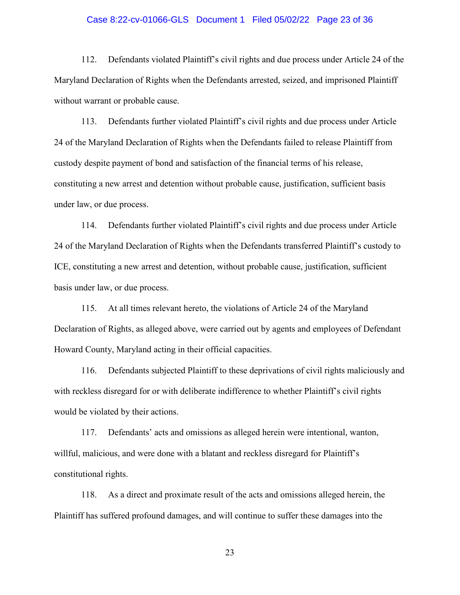### Case 8:22-cv-01066-GLS Document 1 Filed 05/02/22 Page 23 of 36

112. Defendants violated Plaintiff's civil rights and due process under Article 24 of the Maryland Declaration of Rights when the Defendants arrested, seized, and imprisoned Plaintiff without warrant or probable cause.

113. Defendants further violated Plaintiff's civil rights and due process under Article 24 of the Maryland Declaration of Rights when the Defendants failed to release Plaintiff from custody despite payment of bond and satisfaction of the financial terms of his release, constituting a new arrest and detention without probable cause, justification, sufficient basis under law, or due process.

114. Defendants further violated Plaintiff's civil rights and due process under Article 24 of the Maryland Declaration of Rights when the Defendants transferred Plaintiff's custody to ICE, constituting a new arrest and detention, without probable cause, justification, sufficient basis under law, or due process.

115. At all times relevant hereto, the violations of Article 24 of the Maryland Declaration of Rights, as alleged above, were carried out by agents and employees of Defendant Howard County, Maryland acting in their official capacities.

116. Defendants subjected Plaintiff to these deprivations of civil rights maliciously and with reckless disregard for or with deliberate indifference to whether Plaintiff's civil rights would be violated by their actions.

117. Defendants' acts and omissions as alleged herein were intentional, wanton, willful, malicious, and were done with a blatant and reckless disregard for Plaintiff's constitutional rights.

118. As a direct and proximate result of the acts and omissions alleged herein, the Plaintiff has suffered profound damages, and will continue to suffer these damages into the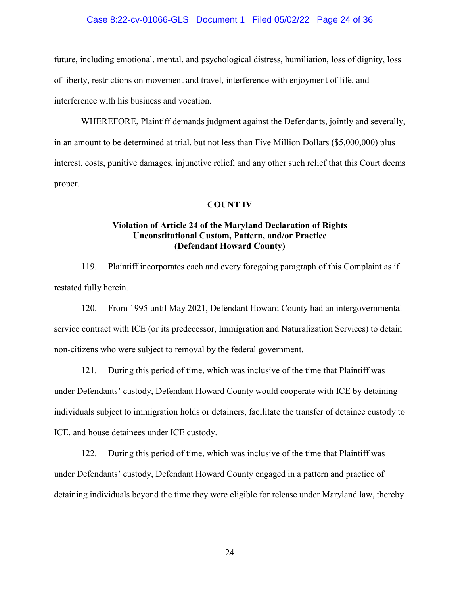## Case 8:22-cv-01066-GLS Document 1 Filed 05/02/22 Page 24 of 36

future, including emotional, mental, and psychological distress, humiliation, loss of dignity, loss of liberty, restrictions on movement and travel, interference with enjoyment of life, and interference with his business and vocation.

WHEREFORE, Plaintiff demands judgment against the Defendants, jointly and severally, in an amount to be determined at trial, but not less than Five Million Dollars (\$5,000,000) plus interest, costs, punitive damages, injunctive relief, and any other such relief that this Court deems proper.

#### **COUNT IV**

## **Violation of Article 24 of the Maryland Declaration of Rights Unconstitutional Custom, Pattern, and/or Practice (Defendant Howard County)**

119. Plaintiff incorporates each and every foregoing paragraph of this Complaint as if restated fully herein.

120. From 1995 until May 2021, Defendant Howard County had an intergovernmental service contract with ICE (or its predecessor, Immigration and Naturalization Services) to detain non-citizens who were subject to removal by the federal government.

121. During this period of time, which was inclusive of the time that Plaintiff was under Defendants' custody, Defendant Howard County would cooperate with ICE by detaining individuals subject to immigration holds or detainers, facilitate the transfer of detainee custody to ICE, and house detainees under ICE custody.

122. During this period of time, which was inclusive of the time that Plaintiff was under Defendants' custody, Defendant Howard County engaged in a pattern and practice of detaining individuals beyond the time they were eligible for release under Maryland law, thereby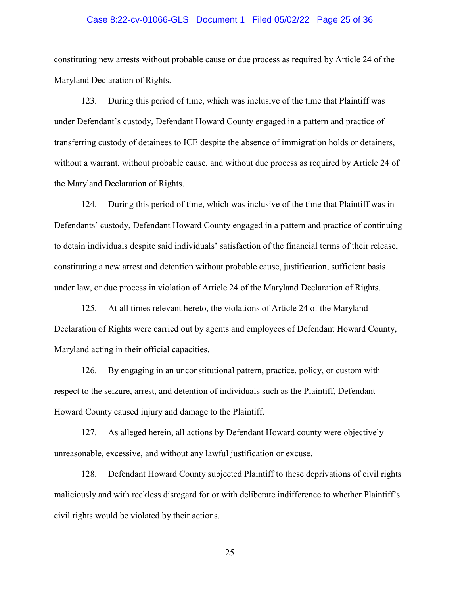### Case 8:22-cv-01066-GLS Document 1 Filed 05/02/22 Page 25 of 36

constituting new arrests without probable cause or due process as required by Article 24 of the Maryland Declaration of Rights.

123. During this period of time, which was inclusive of the time that Plaintiff was under Defendant's custody, Defendant Howard County engaged in a pattern and practice of transferring custody of detainees to ICE despite the absence of immigration holds or detainers, without a warrant, without probable cause, and without due process as required by Article 24 of the Maryland Declaration of Rights.

124. During this period of time, which was inclusive of the time that Plaintiff was in Defendants' custody, Defendant Howard County engaged in a pattern and practice of continuing to detain individuals despite said individuals' satisfaction of the financial terms of their release, constituting a new arrest and detention without probable cause, justification, sufficient basis under law, or due process in violation of Article 24 of the Maryland Declaration of Rights.

125. At all times relevant hereto, the violations of Article 24 of the Maryland Declaration of Rights were carried out by agents and employees of Defendant Howard County, Maryland acting in their official capacities.

126. By engaging in an unconstitutional pattern, practice, policy, or custom with respect to the seizure, arrest, and detention of individuals such as the Plaintiff, Defendant Howard County caused injury and damage to the Plaintiff.

127. As alleged herein, all actions by Defendant Howard county were objectively unreasonable, excessive, and without any lawful justification or excuse.

128. Defendant Howard County subjected Plaintiff to these deprivations of civil rights maliciously and with reckless disregard for or with deliberate indifference to whether Plaintiff's civil rights would be violated by their actions.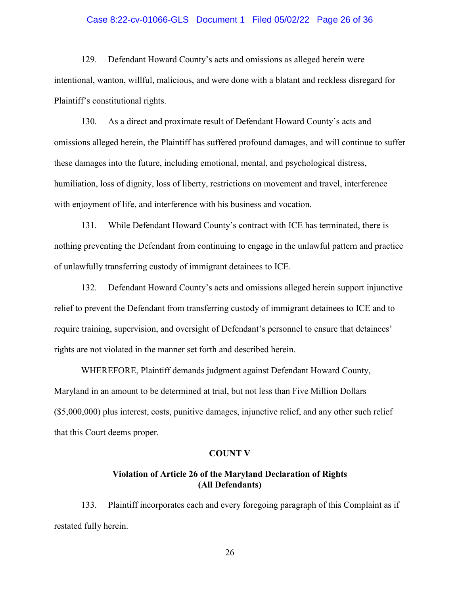## Case 8:22-cv-01066-GLS Document 1 Filed 05/02/22 Page 26 of 36

129. Defendant Howard County's acts and omissions as alleged herein were intentional, wanton, willful, malicious, and were done with a blatant and reckless disregard for Plaintiff's constitutional rights.

130. As a direct and proximate result of Defendant Howard County's acts and omissions alleged herein, the Plaintiff has suffered profound damages, and will continue to suffer these damages into the future, including emotional, mental, and psychological distress, humiliation, loss of dignity, loss of liberty, restrictions on movement and travel, interference with enjoyment of life, and interference with his business and vocation.

131. While Defendant Howard County's contract with ICE has terminated, there is nothing preventing the Defendant from continuing to engage in the unlawful pattern and practice of unlawfully transferring custody of immigrant detainees to ICE.

132. Defendant Howard County's acts and omissions alleged herein support injunctive relief to prevent the Defendant from transferring custody of immigrant detainees to ICE and to require training, supervision, and oversight of Defendant's personnel to ensure that detainees' rights are not violated in the manner set forth and described herein.

WHEREFORE, Plaintiff demands judgment against Defendant Howard County, Maryland in an amount to be determined at trial, but not less than Five Million Dollars (\$5,000,000) plus interest, costs, punitive damages, injunctive relief, and any other such relief that this Court deems proper.

## **COUNT V**

## **Violation of Article 26 of the Maryland Declaration of Rights (All Defendants)**

133. Plaintiff incorporates each and every foregoing paragraph of this Complaint as if restated fully herein.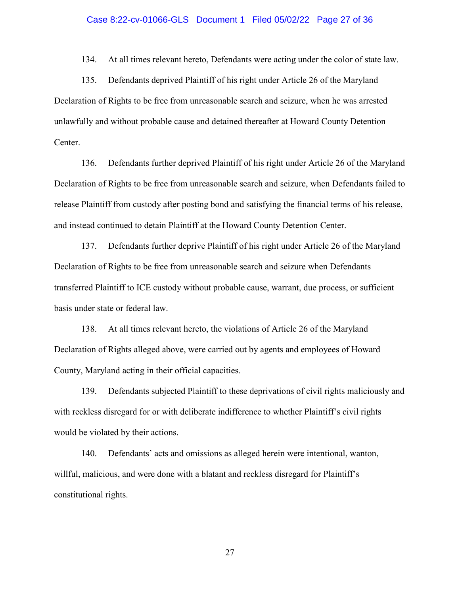### Case 8:22-cv-01066-GLS Document 1 Filed 05/02/22 Page 27 of 36

134. At all times relevant hereto, Defendants were acting under the color of state law.

135. Defendants deprived Plaintiff of his right under Article 26 of the Maryland Declaration of Rights to be free from unreasonable search and seizure, when he was arrested unlawfully and without probable cause and detained thereafter at Howard County Detention Center.

136. Defendants further deprived Plaintiff of his right under Article 26 of the Maryland Declaration of Rights to be free from unreasonable search and seizure, when Defendants failed to release Plaintiff from custody after posting bond and satisfying the financial terms of his release, and instead continued to detain Plaintiff at the Howard County Detention Center.

137. Defendants further deprive Plaintiff of his right under Article 26 of the Maryland Declaration of Rights to be free from unreasonable search and seizure when Defendants transferred Plaintiff to ICE custody without probable cause, warrant, due process, or sufficient basis under state or federal law.

138. At all times relevant hereto, the violations of Article 26 of the Maryland Declaration of Rights alleged above, were carried out by agents and employees of Howard County, Maryland acting in their official capacities.

139. Defendants subjected Plaintiff to these deprivations of civil rights maliciously and with reckless disregard for or with deliberate indifference to whether Plaintiff's civil rights would be violated by their actions.

140. Defendants' acts and omissions as alleged herein were intentional, wanton, willful, malicious, and were done with a blatant and reckless disregard for Plaintiff's constitutional rights.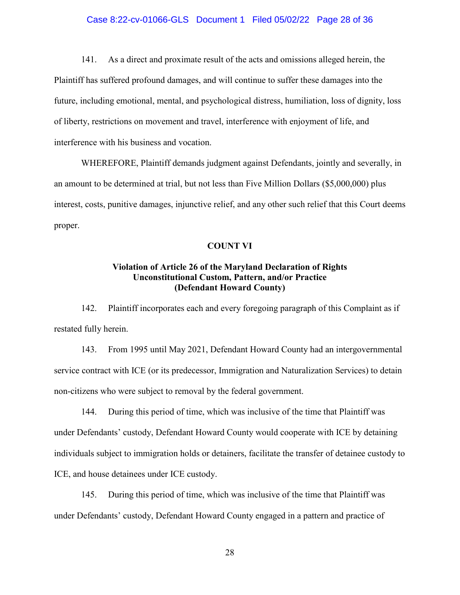## Case 8:22-cv-01066-GLS Document 1 Filed 05/02/22 Page 28 of 36

141. As a direct and proximate result of the acts and omissions alleged herein, the Plaintiff has suffered profound damages, and will continue to suffer these damages into the future, including emotional, mental, and psychological distress, humiliation, loss of dignity, loss of liberty, restrictions on movement and travel, interference with enjoyment of life, and interference with his business and vocation.

WHEREFORE, Plaintiff demands judgment against Defendants, jointly and severally, in an amount to be determined at trial, but not less than Five Million Dollars (\$5,000,000) plus interest, costs, punitive damages, injunctive relief, and any other such relief that this Court deems proper.

#### **COUNT VI**

## **Violation of Article 26 of the Maryland Declaration of Rights Unconstitutional Custom, Pattern, and/or Practice (Defendant Howard County)**

142. Plaintiff incorporates each and every foregoing paragraph of this Complaint as if restated fully herein.

143. From 1995 until May 2021, Defendant Howard County had an intergovernmental service contract with ICE (or its predecessor, Immigration and Naturalization Services) to detain non-citizens who were subject to removal by the federal government.

144. During this period of time, which was inclusive of the time that Plaintiff was under Defendants' custody, Defendant Howard County would cooperate with ICE by detaining individuals subject to immigration holds or detainers, facilitate the transfer of detainee custody to ICE, and house detainees under ICE custody.

145. During this period of time, which was inclusive of the time that Plaintiff was under Defendants' custody, Defendant Howard County engaged in a pattern and practice of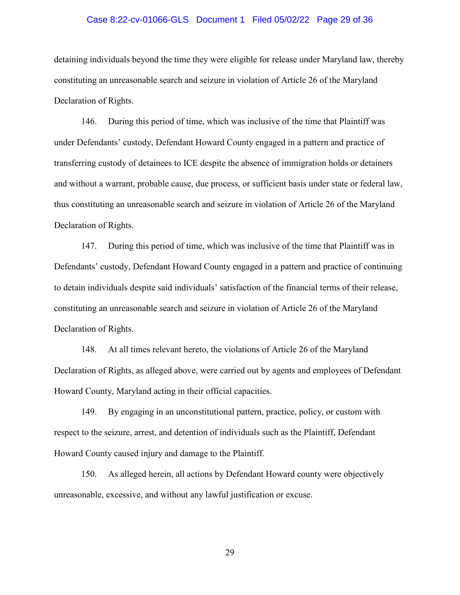## Case 8:22-cv-01066-GLS Document 1 Filed 05/02/22 Page 29 of 36

detaining individuals beyond the time they were eligible for release under Maryland law, thereby constituting an unreasonable search and seizure in violation of Article 26 of the Maryland Declaration of Rights.

146. During this period of time, which was inclusive of the time that Plaintiff was under Defendants' custody, Defendant Howard County engaged in a pattern and practice of transferring custody of detainees to ICE despite the absence of immigration holds or detainers and without a warrant, probable cause, due process, or sufficient basis under state or federal law, thus constituting an unreasonable search and seizure in violation of Article 26 of the Maryland Declaration of Rights.

147. During this period of time, which was inclusive of the time that Plaintiff was in Defendants' custody, Defendant Howard County engaged in a pattern and practice of continuing to detain individuals despite said individuals' satisfaction of the financial terms of their release, constituting an unreasonable search and seizure in violation of Article 26 of the Maryland Declaration of Rights.

148. At all times relevant hereto, the violations of Article 26 of the Maryland Declaration of Rights, as alleged above, were carried out by agents and employees of Defendant Howard County, Maryland acting in their official capacities.

149. By engaging in an unconstitutional pattern, practice, policy, or custom with respect to the seizure, arrest, and detention of individuals such as the Plaintiff, Defendant Howard County caused injury and damage to the Plaintiff.

150. As alleged herein, all actions by Defendant Howard county were objectively unreasonable, excessive, and without any lawful justification or excuse.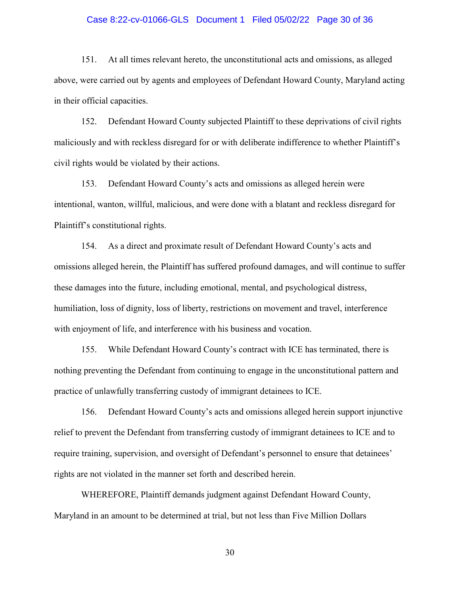### Case 8:22-cv-01066-GLS Document 1 Filed 05/02/22 Page 30 of 36

151. At all times relevant hereto, the unconstitutional acts and omissions, as alleged above, were carried out by agents and employees of Defendant Howard County, Maryland acting in their official capacities.

152. Defendant Howard County subjected Plaintiff to these deprivations of civil rights maliciously and with reckless disregard for or with deliberate indifference to whether Plaintiff's civil rights would be violated by their actions.

153. Defendant Howard County's acts and omissions as alleged herein were intentional, wanton, willful, malicious, and were done with a blatant and reckless disregard for Plaintiff's constitutional rights.

154. As a direct and proximate result of Defendant Howard County's acts and omissions alleged herein, the Plaintiff has suffered profound damages, and will continue to suffer these damages into the future, including emotional, mental, and psychological distress, humiliation, loss of dignity, loss of liberty, restrictions on movement and travel, interference with enjoyment of life, and interference with his business and vocation.

155. While Defendant Howard County's contract with ICE has terminated, there is nothing preventing the Defendant from continuing to engage in the unconstitutional pattern and practice of unlawfully transferring custody of immigrant detainees to ICE.

156. Defendant Howard County's acts and omissions alleged herein support injunctive relief to prevent the Defendant from transferring custody of immigrant detainees to ICE and to require training, supervision, and oversight of Defendant's personnel to ensure that detainees' rights are not violated in the manner set forth and described herein.

WHEREFORE, Plaintiff demands judgment against Defendant Howard County, Maryland in an amount to be determined at trial, but not less than Five Million Dollars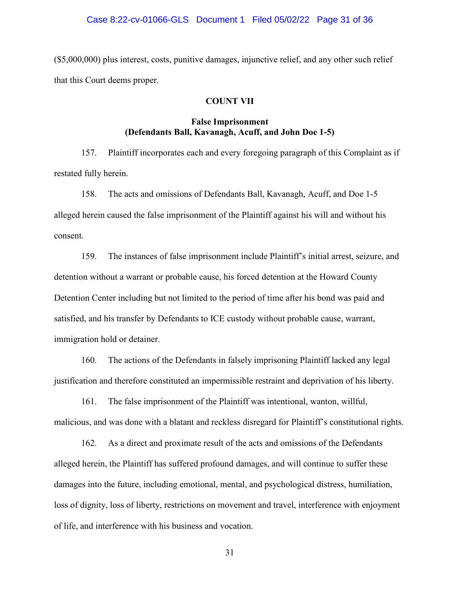### Case 8:22-cv-01066-GLS Document 1 Filed 05/02/22 Page 31 of 36

(\$5,000,000) plus interest, costs, punitive damages, injunctive relief, and any other such relief that this Court deems proper.

## **COUNT VII**

## **False Imprisonment (Defendants Ball, Kavanagh, Acuff, and John Doe 1-5)**

157. Plaintiff incorporates each and every foregoing paragraph of this Complaint as if restated fully herein.

158. The acts and omissions of Defendants Ball, Kavanagh, Acuff, and Doe 1-5 alleged herein caused the false imprisonment of the Plaintiff against his will and without his consent.

159. The instances of false imprisonment include Plaintiff's initial arrest, seizure, and detention without a warrant or probable cause, his forced detention at the Howard County Detention Center including but not limited to the period of time after his bond was paid and satisfied, and his transfer by Defendants to ICE custody without probable cause, warrant, immigration hold or detainer.

160. The actions of the Defendants in falsely imprisoning Plaintiff lacked any legal justification and therefore constituted an impermissible restraint and deprivation of his liberty.

161. The false imprisonment of the Plaintiff was intentional, wanton, willful, malicious, and was done with a blatant and reckless disregard for Plaintiff's constitutional rights.

162. As a direct and proximate result of the acts and omissions of the Defendants alleged herein, the Plaintiff has suffered profound damages, and will continue to suffer these damages into the future, including emotional, mental, and psychological distress, humiliation, loss of dignity, loss of liberty, restrictions on movement and travel, interference with enjoyment of life, and interference with his business and vocation.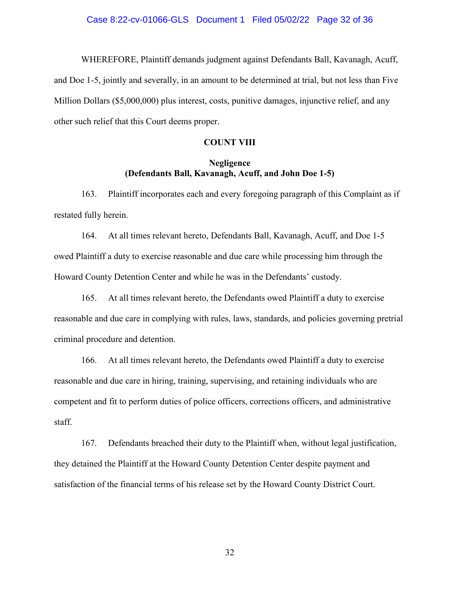#### Case 8:22-cv-01066-GLS Document 1 Filed 05/02/22 Page 32 of 36

WHEREFORE, Plaintiff demands judgment against Defendants Ball, Kavanagh, Acuff, and Doe 1-5, jointly and severally, in an amount to be determined at trial, but not less than Five Million Dollars (\$5,000,000) plus interest, costs, punitive damages, injunctive relief, and any other such relief that this Court deems proper.

## **COUNT VIII**

## **Negligence (Defendants Ball, Kavanagh, Acuff, and John Doe 1-5)**

163. Plaintiff incorporates each and every foregoing paragraph of this Complaint as if restated fully herein.

164. At all times relevant hereto, Defendants Ball, Kavanagh, Acuff, and Doe 1-5 owed Plaintiff a duty to exercise reasonable and due care while processing him through the Howard County Detention Center and while he was in the Defendants' custody.

165. At all times relevant hereto, the Defendants owed Plaintiff a duty to exercise reasonable and due care in complying with rules, laws, standards, and policies governing pretrial criminal procedure and detention.

166. At all times relevant hereto, the Defendants owed Plaintiff a duty to exercise reasonable and due care in hiring, training, supervising, and retaining individuals who are competent and fit to perform duties of police officers, corrections officers, and administrative staff.

167. Defendants breached their duty to the Plaintiff when, without legal justification, they detained the Plaintiff at the Howard County Detention Center despite payment and satisfaction of the financial terms of his release set by the Howard County District Court.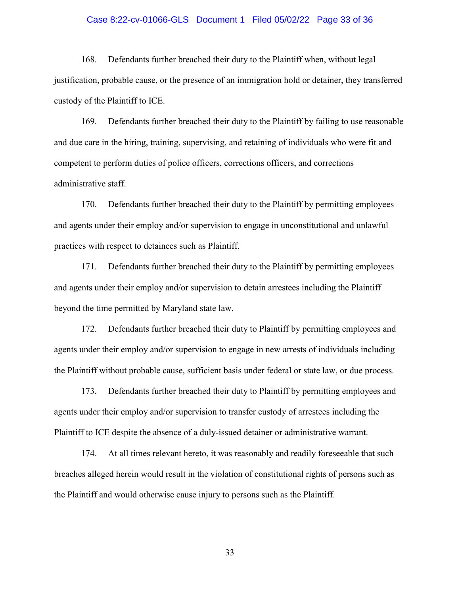## Case 8:22-cv-01066-GLS Document 1 Filed 05/02/22 Page 33 of 36

168. Defendants further breached their duty to the Plaintiff when, without legal justification, probable cause, or the presence of an immigration hold or detainer, they transferred custody of the Plaintiff to ICE.

169. Defendants further breached their duty to the Plaintiff by failing to use reasonable and due care in the hiring, training, supervising, and retaining of individuals who were fit and competent to perform duties of police officers, corrections officers, and corrections administrative staff.

170. Defendants further breached their duty to the Plaintiff by permitting employees and agents under their employ and/or supervision to engage in unconstitutional and unlawful practices with respect to detainees such as Plaintiff.

171. Defendants further breached their duty to the Plaintiff by permitting employees and agents under their employ and/or supervision to detain arrestees including the Plaintiff beyond the time permitted by Maryland state law.

172. Defendants further breached their duty to Plaintiff by permitting employees and agents under their employ and/or supervision to engage in new arrests of individuals including the Plaintiff without probable cause, sufficient basis under federal or state law, or due process.

173. Defendants further breached their duty to Plaintiff by permitting employees and agents under their employ and/or supervision to transfer custody of arrestees including the Plaintiff to ICE despite the absence of a duly-issued detainer or administrative warrant.

174. At all times relevant hereto, it was reasonably and readily foreseeable that such breaches alleged herein would result in the violation of constitutional rights of persons such as the Plaintiff and would otherwise cause injury to persons such as the Plaintiff.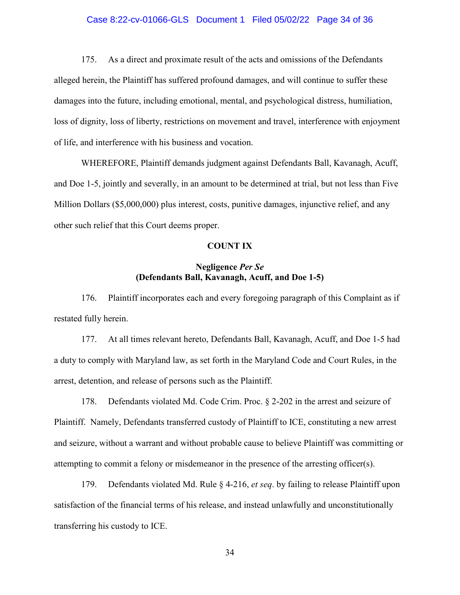## Case 8:22-cv-01066-GLS Document 1 Filed 05/02/22 Page 34 of 36

175. As a direct and proximate result of the acts and omissions of the Defendants alleged herein, the Plaintiff has suffered profound damages, and will continue to suffer these damages into the future, including emotional, mental, and psychological distress, humiliation, loss of dignity, loss of liberty, restrictions on movement and travel, interference with enjoyment of life, and interference with his business and vocation.

WHEREFORE, Plaintiff demands judgment against Defendants Ball, Kavanagh, Acuff, and Doe 1-5, jointly and severally, in an amount to be determined at trial, but not less than Five Million Dollars (\$5,000,000) plus interest, costs, punitive damages, injunctive relief, and any other such relief that this Court deems proper.

#### **COUNT IX**

## **Negligence** *Per Se* **(Defendants Ball, Kavanagh, Acuff, and Doe 1-5)**

176. Plaintiff incorporates each and every foregoing paragraph of this Complaint as if restated fully herein.

177. At all times relevant hereto, Defendants Ball, Kavanagh, Acuff, and Doe 1-5 had a duty to comply with Maryland law, as set forth in the Maryland Code and Court Rules, in the arrest, detention, and release of persons such as the Plaintiff.

178. Defendants violated Md. Code Crim. Proc. § 2-202 in the arrest and seizure of Plaintiff. Namely, Defendants transferred custody of Plaintiff to ICE, constituting a new arrest and seizure, without a warrant and without probable cause to believe Plaintiff was committing or attempting to commit a felony or misdemeanor in the presence of the arresting officer(s).

179. Defendants violated Md. Rule § 4-216, *et seq*. by failing to release Plaintiff upon satisfaction of the financial terms of his release, and instead unlawfully and unconstitutionally transferring his custody to ICE.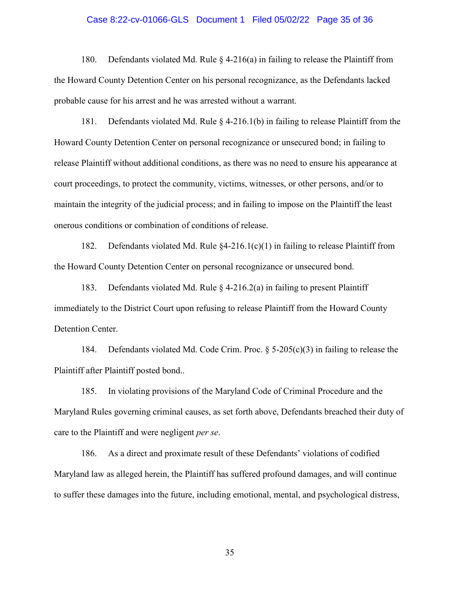### Case 8:22-cv-01066-GLS Document 1 Filed 05/02/22 Page 35 of 36

180. Defendants violated Md. Rule § 4-216(a) in failing to release the Plaintiff from the Howard County Detention Center on his personal recognizance, as the Defendants lacked probable cause for his arrest and he was arrested without a warrant.

181. Defendants violated Md. Rule § 4-216.1(b) in failing to release Plaintiff from the Howard County Detention Center on personal recognizance or unsecured bond; in failing to release Plaintiff without additional conditions, as there was no need to ensure his appearance at court proceedings, to protect the community, victims, witnesses, or other persons, and/or to maintain the integrity of the judicial process; and in failing to impose on the Plaintiff the least onerous conditions or combination of conditions of release.

182. Defendants violated Md. Rule  $\&4-216.1(c)(1)$  in failing to release Plaintiff from the Howard County Detention Center on personal recognizance or unsecured bond.

183. Defendants violated Md. Rule  $\S$  4-216.2(a) in failing to present Plaintiff immediately to the District Court upon refusing to release Plaintiff from the Howard County Detention Center.

184. Defendants violated Md. Code Crim. Proc.  $\S$  5-205(c)(3) in failing to release the Plaintiff after Plaintiff posted bond..

185. In violating provisions of the Maryland Code of Criminal Procedure and the Maryland Rules governing criminal causes, as set forth above, Defendants breached their duty of care to the Plaintiff and were negligent *per se*.

186. As a direct and proximate result of these Defendants' violations of codified Maryland law as alleged herein, the Plaintiff has suffered profound damages, and will continue to suffer these damages into the future, including emotional, mental, and psychological distress,